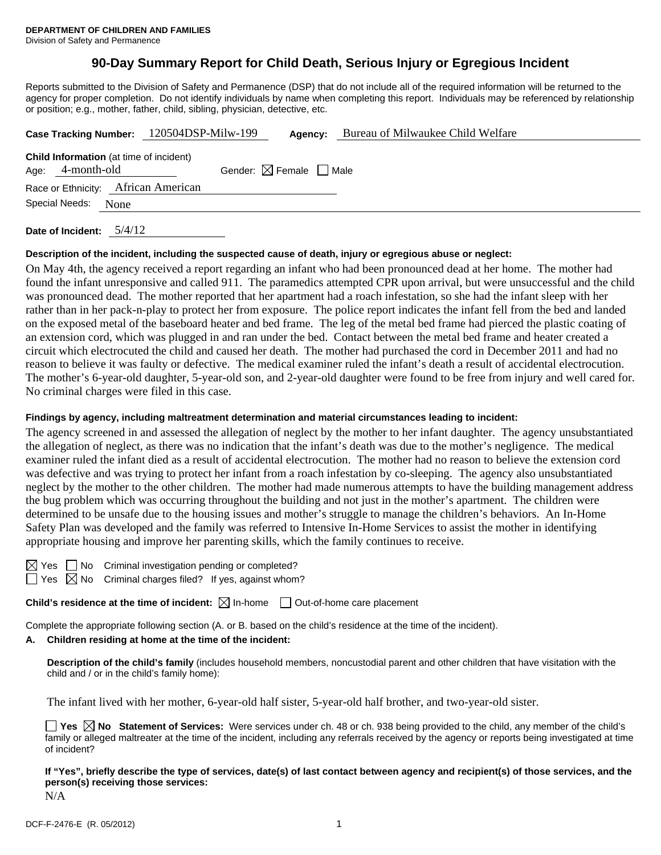# **90-Day Summary Report for Child Death, Serious Injury or Egregious Incident**

Reports submitted to the Division of Safety and Permanence (DSP) that do not include all of the required information will be returned to the agency for proper completion. Do not identify individuals by name when completing this report. Individuals may be referenced by relationship or position; e.g., mother, father, child, sibling, physician, detective, etc.

|                                                                    | Case Tracking Number: 120504DSP-Milw-199 |                                        | Agency: | Bureau of Milwaukee Child Welfare |
|--------------------------------------------------------------------|------------------------------------------|----------------------------------------|---------|-----------------------------------|
| <b>Child Information</b> (at time of incident)<br>Age: 4-month-old |                                          | Gender: $\boxtimes$ Female $\Box$ Male |         |                                   |
|                                                                    | Race or Ethnicity: African American      |                                        |         |                                   |
| Special Needs: None                                                |                                          |                                        |         |                                   |
|                                                                    |                                          |                                        |         |                                   |

**Date of Incident:** 5/4/12

#### **Description of the incident, including the suspected cause of death, injury or egregious abuse or neglect:**

On May 4th, the agency received a report regarding an infant who had been pronounced dead at her home. The mother had found the infant unresponsive and called 911. The paramedics attempted CPR upon arrival, but were unsuccessful and the child was pronounced dead. The mother reported that her apartment had a roach infestation, so she had the infant sleep with her rather than in her pack-n-play to protect her from exposure. The police report indicates the infant fell from the bed and landed on the exposed metal of the baseboard heater and bed frame. The leg of the metal bed frame had pierced the plastic coating of an extension cord, which was plugged in and ran under the bed. Contact between the metal bed frame and heater created a circuit which electrocuted the child and caused her death. The mother had purchased the cord in December 2011 and had no reason to believe it was faulty or defective. The medical examiner ruled the infant's death a result of accidental electrocution. The mother's 6-year-old daughter, 5-year-old son, and 2-year-old daughter were found to be free from injury and well cared for. No criminal charges were filed in this case.

#### **Findings by agency, including maltreatment determination and material circumstances leading to incident:**

The agency screened in and assessed the allegation of neglect by the mother to her infant daughter. The agency unsubstantiated the allegation of neglect, as there was no indication that the infant's death was due to the mother's negligence. The medical examiner ruled the infant died as a result of accidental electrocution. The mother had no reason to believe the extension cord was defective and was trying to protect her infant from a roach infestation by co-sleeping. The agency also unsubstantiated neglect by the mother to the other children. The mother had made numerous attempts to have the building management address the bug problem which was occurring throughout the building and not just in the mother's apartment. The children were determined to be unsafe due to the housing issues and mother's struggle to manage the children's behaviors. An In-Home Safety Plan was developed and the family was referred to Intensive In-Home Services to assist the mother in identifying appropriate housing and improve her parenting skills, which the family continues to receive.

 $\Box$  No Criminal investigation pending or completed?  $\Box$  Yes  $\boxtimes$  No Criminal charges filed? If yes, against whom?

**Child's residence at the time of incident:**  $\boxtimes$  In-home  $\Box$  Out-of-home care placement

Complete the appropriate following section (A. or B. based on the child's residence at the time of the incident).

## **A. Children residing at home at the time of the incident:**

**Description of the child's family** (includes household members, noncustodial parent and other children that have visitation with the child and / or in the child's family home):

The infant lived with her mother, 6-year-old half sister, 5-year-old half brother, and two-year-old sister.

**Yes No Statement of Services:** Were services under ch. 48 or ch. 938 being provided to the child, any member of the child's family or alleged maltreater at the time of the incident, including any referrals received by the agency or reports being investigated at time of incident?

**If "Yes", briefly describe the type of services, date(s) of last contact between agency and recipient(s) of those services, and the person(s) receiving those services:**  N/A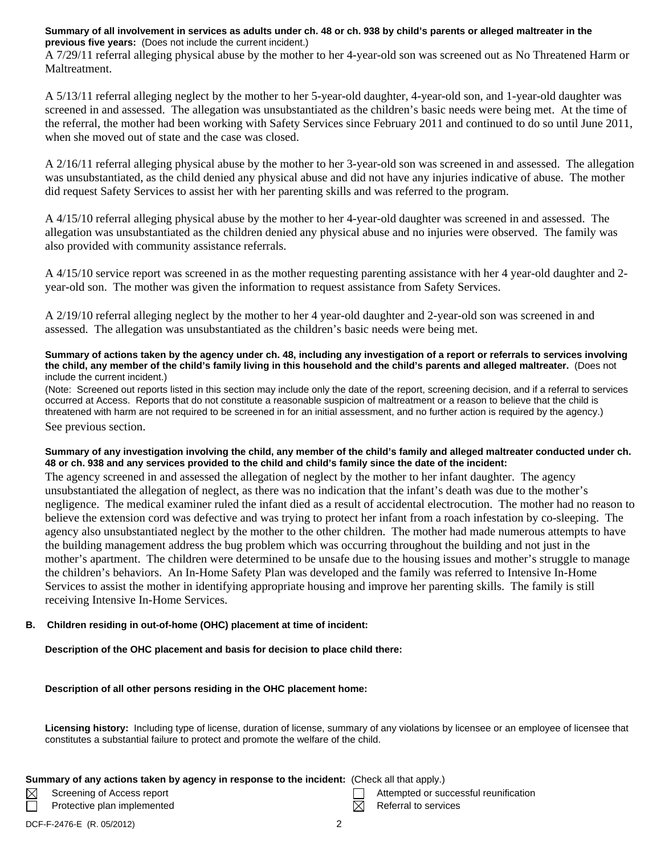### **Summary of all involvement in services as adults under ch. 48 or ch. 938 by child's parents or alleged maltreater in the previous five years:** (Does not include the current incident.)

A 7/29/11 referral alleging physical abuse by the mother to her 4-year-old son was screened out as No Threatened Harm or Maltreatment.

A 5/13/11 referral alleging neglect by the mother to her 5-year-old daughter, 4-year-old son, and 1-year-old daughter was screened in and assessed. The allegation was unsubstantiated as the children's basic needs were being met. At the time of the referral, the mother had been working with Safety Services since February 2011 and continued to do so until June 2011, when she moved out of state and the case was closed.

A 2/16/11 referral alleging physical abuse by the mother to her 3-year-old son was screened in and assessed. The allegation was unsubstantiated, as the child denied any physical abuse and did not have any injuries indicative of abuse. The mother did request Safety Services to assist her with her parenting skills and was referred to the program.

A 4/15/10 referral alleging physical abuse by the mother to her 4-year-old daughter was screened in and assessed. The allegation was unsubstantiated as the children denied any physical abuse and no injuries were observed. The family was also provided with community assistance referrals.

A 4/15/10 service report was screened in as the mother requesting parenting assistance with her 4 year-old daughter and 2 year-old son. The mother was given the information to request assistance from Safety Services.

A 2/19/10 referral alleging neglect by the mother to her 4 year-old daughter and 2-year-old son was screened in and assessed. The allegation was unsubstantiated as the children's basic needs were being met.

#### **Summary of actions taken by the agency under ch. 48, including any investigation of a report or referrals to services involving the child, any member of the child's family living in this household and the child's parents and alleged maltreater.** (Does not include the current incident.)

(Note: Screened out reports listed in this section may include only the date of the report, screening decision, and if a referral to services occurred at Access. Reports that do not constitute a reasonable suspicion of maltreatment or a reason to believe that the child is threatened with harm are not required to be screened in for an initial assessment, and no further action is required by the agency.) See previous section.

# **Summary of any investigation involving the child, any member of the child's family and alleged maltreater conducted under ch. 48 or ch. 938 and any services provided to the child and child's family since the date of the incident:**

The agency screened in and assessed the allegation of neglect by the mother to her infant daughter. The agency unsubstantiated the allegation of neglect, as there was no indication that the infant's death was due to the mother's negligence. The medical examiner ruled the infant died as a result of accidental electrocution. The mother had no reason to believe the extension cord was defective and was trying to protect her infant from a roach infestation by co-sleeping. The agency also unsubstantiated neglect by the mother to the other children. The mother had made numerous attempts to have the building management address the bug problem which was occurring throughout the building and not just in the mother's apartment. The children were determined to be unsafe due to the housing issues and mother's struggle to manage the children's behaviors. An In-Home Safety Plan was developed and the family was referred to Intensive In-Home Services to assist the mother in identifying appropriate housing and improve her parenting skills. The family is still receiving Intensive In-Home Services.

# **B. Children residing in out-of-home (OHC) placement at time of incident:**

**Description of the OHC placement and basis for decision to place child there:** 

# **Description of all other persons residing in the OHC placement home:**

**Licensing history:** Including type of license, duration of license, summary of any violations by licensee or an employee of licensee that constitutes a substantial failure to protect and promote the welfare of the child.

# **Summary of any actions taken by agency in response to the incident:** (Check all that apply.)

Protective plan implemented  $R$  Referral to services

Screening of Access report Attempted or successful reunification

 $\boxtimes$